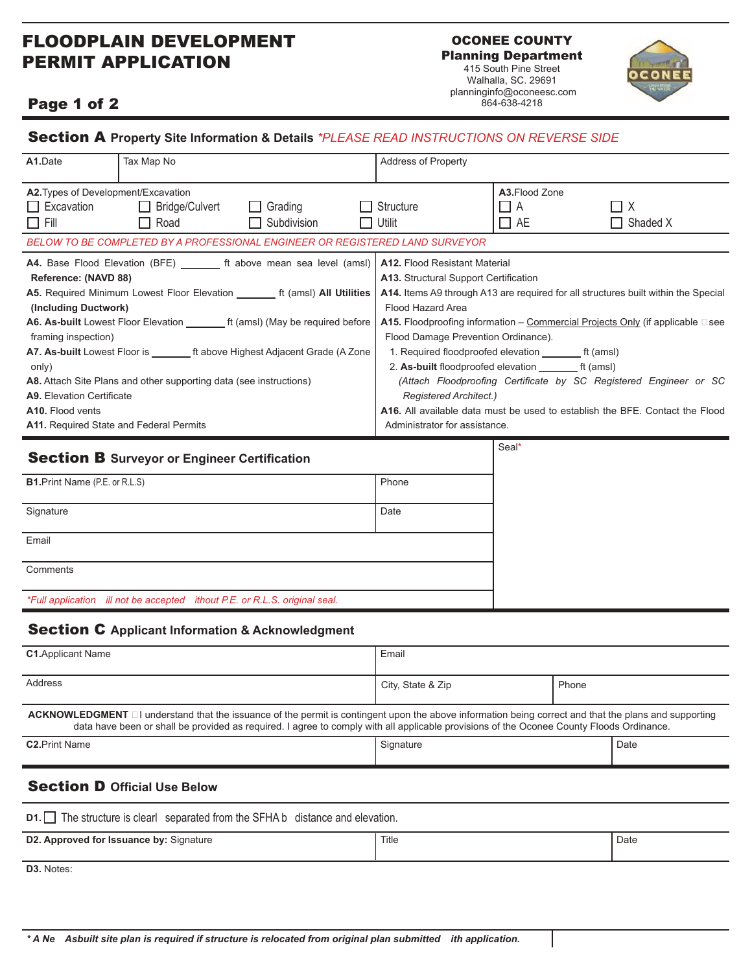## FLOODPLAIN DEVELOPMENT PERMIT APPLICATION

OCONEE COUNTY Planning Department

415 South Pine Street Walhalla, SC. 29691 planninginfo@oconeesc.com 864-638-4218



### Page 1 of 2

| A1.Date                                                                                                                                                                                                                                                                                                                                                                                                                                                                                                                                                                                      | Tax Map No                                                                   | <b>Address of Property</b>                                                                                                                                                                                                                                                                                                                                                                                                                                                                                                                                                                                                                                 |                                                                |
|----------------------------------------------------------------------------------------------------------------------------------------------------------------------------------------------------------------------------------------------------------------------------------------------------------------------------------------------------------------------------------------------------------------------------------------------------------------------------------------------------------------------------------------------------------------------------------------------|------------------------------------------------------------------------------|------------------------------------------------------------------------------------------------------------------------------------------------------------------------------------------------------------------------------------------------------------------------------------------------------------------------------------------------------------------------------------------------------------------------------------------------------------------------------------------------------------------------------------------------------------------------------------------------------------------------------------------------------------|----------------------------------------------------------------|
| A2. Types of Development/Excavation<br>$\Box$ Excavation<br>$\Box$ Fill                                                                                                                                                                                                                                                                                                                                                                                                                                                                                                                      | □ Bridge/Culvert<br>$\Box$ Grading<br>$\Box$ Road<br>$\Box$ Subdivision      | $\Box$ Structure<br>l Utilit                                                                                                                                                                                                                                                                                                                                                                                                                                                                                                                                                                                                                               | A3.Flood Zone<br>$\Box$ X<br>$\Box$ A<br>$\Box$ AE<br>Shaded X |
|                                                                                                                                                                                                                                                                                                                                                                                                                                                                                                                                                                                              | BELOW TO BE COMPLETED BY A PROFESSIONAL ENGINEER OR REGISTERED LAND SURVEYOR |                                                                                                                                                                                                                                                                                                                                                                                                                                                                                                                                                                                                                                                            |                                                                |
| A4. Base Flood Elevation (BFE) _______ ft above mean sea level (amsl)  <br>Reference: (NAVD 88)<br>A5. Required Minimum Lowest Floor Elevation ________ ft (amsl) All Utilities<br>(Including Ductwork)<br>A6. As-built Lowest Floor Elevation __________ ft (amsl) (May be required before<br>framing inspection)<br>A7. As-built Lowest Floor is _________ ft above Highest Adjacent Grade (A Zone<br>only)<br>A8. Attach Site Plans and other supporting data (see instructions)<br>A9. Elevation Certificate<br>A <sub>10</sub> . Flood vents<br>A11. Required State and Federal Permits |                                                                              | A12. Flood Resistant Material<br>A13. Structural Support Certification<br>A14. Items A9 through A13 are required for all structures built within the Special<br>Flood Hazard Area<br>A15. Floodproofing information - Commercial Projects Only (if applicable - see<br>Flood Damage Prevention Ordinance).<br>1. Required floodproofed elevation _____________ ft (amsl)<br>2. As-built floodproofed elevation __________ ft (amsl)<br>(Attach Floodproofing Certificate by SC Registered Engineer or SC<br>Registered Architect.)<br><b>A16.</b> All available data must be used to establish the BFE. Contact the Flood<br>Administrator for assistance. |                                                                |
| <b>Section B</b> Surveyor or Engineer Certification                                                                                                                                                                                                                                                                                                                                                                                                                                                                                                                                          |                                                                              |                                                                                                                                                                                                                                                                                                                                                                                                                                                                                                                                                                                                                                                            | Seal*                                                          |
| <b>B1.</b> Print Name (P.E. or R.L.S)                                                                                                                                                                                                                                                                                                                                                                                                                                                                                                                                                        |                                                                              | Phone                                                                                                                                                                                                                                                                                                                                                                                                                                                                                                                                                                                                                                                      |                                                                |
| Signature                                                                                                                                                                                                                                                                                                                                                                                                                                                                                                                                                                                    |                                                                              | <b>Data</b>                                                                                                                                                                                                                                                                                                                                                                                                                                                                                                                                                                                                                                                |                                                                |

Section A **Property Site Information & Details** *\*PLEASE READ INSTRUCTIONS ON REVERSE SIDE*

| Signature |                                                                            | Date |  |
|-----------|----------------------------------------------------------------------------|------|--|
| Email     |                                                                            |      |  |
| Comments  |                                                                            |      |  |
|           | *Full application ill not be accepted ithout P.E. or R.L.S. original seal. |      |  |

### Section C **Applicant Information & Acknowledgment**

| <b>Section D Official Use Below</b>                                                                                                                                                                                                                                                                       |                   |       |  |  |  |  |
|-----------------------------------------------------------------------------------------------------------------------------------------------------------------------------------------------------------------------------------------------------------------------------------------------------------|-------------------|-------|--|--|--|--|
| <b>C2.Print Name</b>                                                                                                                                                                                                                                                                                      | Signature         | Date  |  |  |  |  |
| <b>ACKNOWLEDGMENT</b> – I understand that the issuance of the permit is contingent upon the above information being correct and that the plans and supporting<br>data have been or shall be provided as required. I agree to comply with all applicable provisions of the Oconee County Floods Ordinance. |                   |       |  |  |  |  |
| Address                                                                                                                                                                                                                                                                                                   | City, State & Zip | Phone |  |  |  |  |
| <b>C1.</b> Applicant Name                                                                                                                                                                                                                                                                                 | Email             |       |  |  |  |  |

### Section D **Official Use Below**

| <b>D1.</b> The structure is clearl separated from the SFHA b distance and elevation. |       |      |  |  |  |  |  |
|--------------------------------------------------------------------------------------|-------|------|--|--|--|--|--|
| D2. Approved for Issuance by: Signature                                              | Title | Date |  |  |  |  |  |

**D3.** Notes: